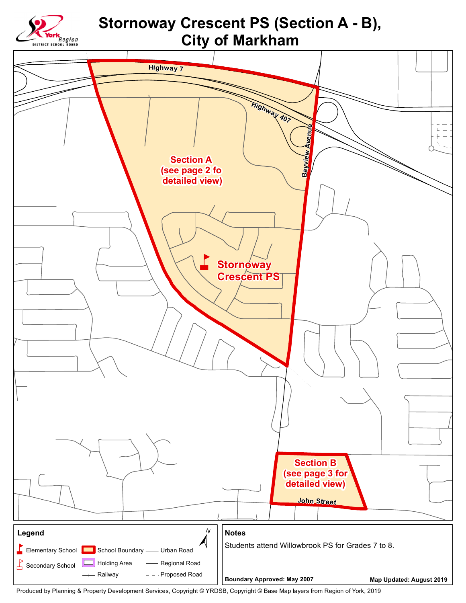

Produced by Planning & Property Development Services, Copyright © YRDSB, Copyright © Base Map layers from Region of York, 2019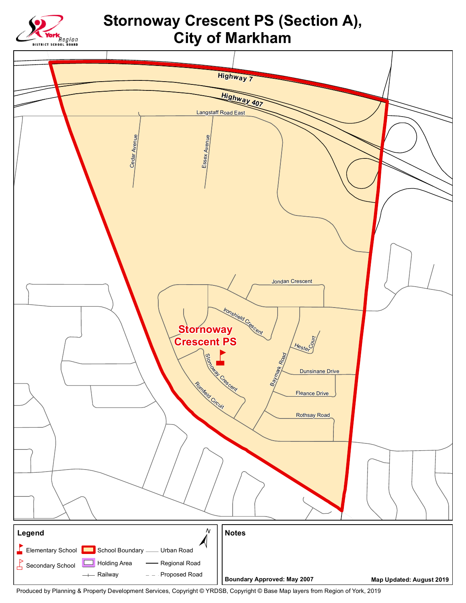

## **Stornoway Crescent PS (Section A), City of Markham**



Produced by Planning & Property Development Services, Copyright © YRDSB, Copyright © Base Map layers from Region of York, 2019